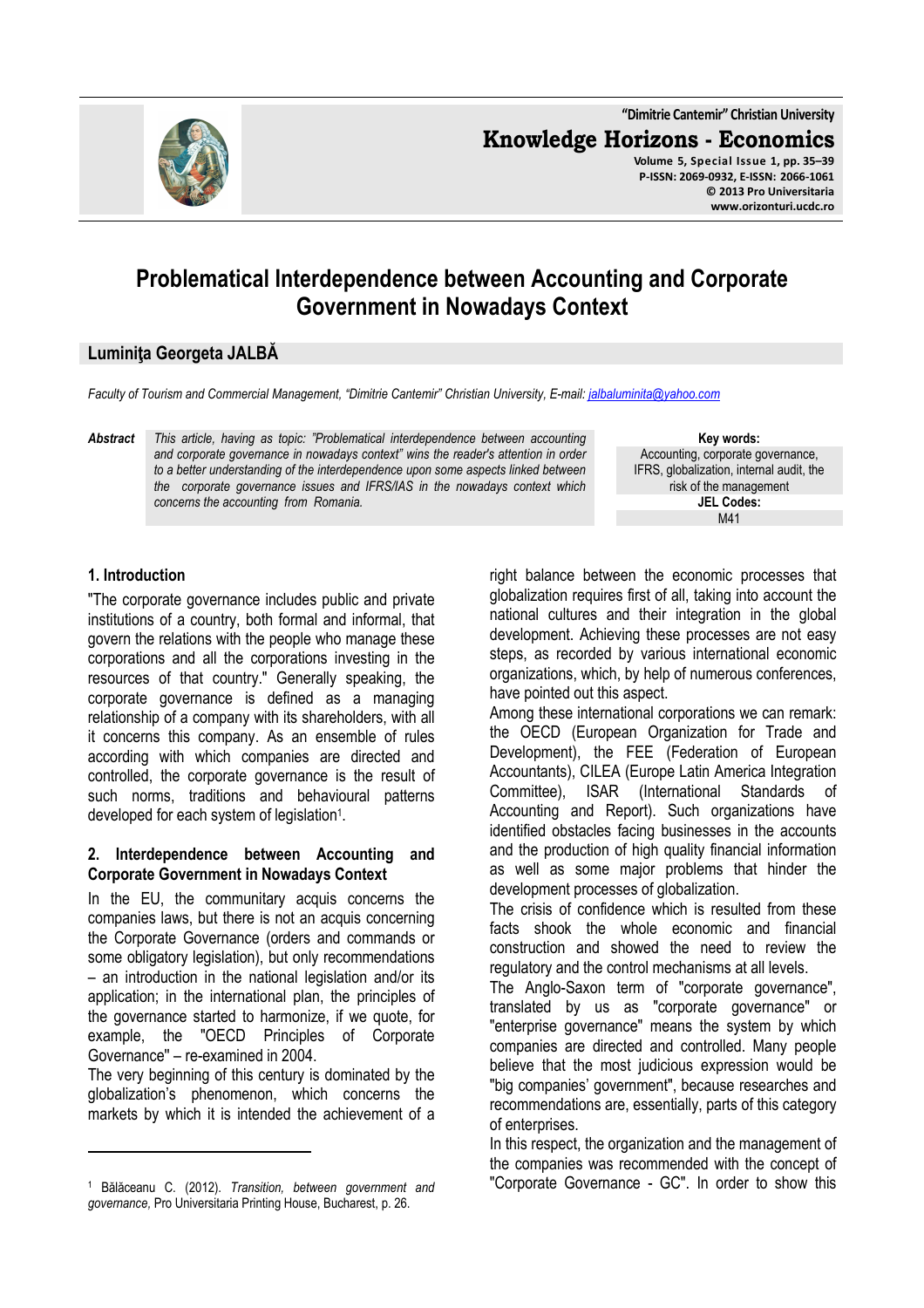

**"Dimitrie Cantemir" Christian University Knowledge Horizons - Economics Volume 5, Special Issue 1, pp. 35–39 P-ISSN: 2069-0932, E-ISSN: 2066-1061 © 2013 Pro Universitaria www.orizonturi.ucdc.ro**

# **Problematical Interdependence between Accounting and Corporate Government in Nowadays Context**

### **Luminiţa Georgeta JALBĂ**

*Faculty of Tourism and Commercial Management, "Dimitrie Cantemir" Christian University, E-mail: jalbaluminita@yahoo.com*

*Abstract This article, having as topic: "Problematical interdependence between accounting and corporate governance in nowadays context" wins the reader's attention in order to a better understanding of the interdependence upon some aspects linked between the corporate governance issues and IFRS/IAS in the nowadays context which concerns the accounting from Romania.* 

**Key words:** Accounting, corporate governance, IFRS, globalization, internal audit, the risk of the management **JEL Codes:** M41

### **1. Introduction**

l

"The corporate governance includes public and private institutions of a country, both formal and informal, that govern the relations with the people who manage these corporations and all the corporations investing in the resources of that country." Generally speaking, the corporate governance is defined as a managing relationship of a company with its shareholders, with all it concerns this company. As an ensemble of rules according with which companies are directed and controlled, the corporate governance is the result of such norms, traditions and behavioural patterns developed for each system of legislation<sup>1</sup>.

### **2. Interdependence between Accounting and Corporate Government in Nowadays Context**

In the EU, the communitary acquis concerns the companies laws, but there is not an acquis concerning the Corporate Governance (orders and commands or some obligatory legislation), but only recommendations – an introduction in the national legislation and/or its application; in the international plan, the principles of the governance started to harmonize, if we quote, for example, the "OECD Principles of Corporate Governance'' – re-examined in 2004.

The very beginning of this century is dominated by the globalization's phenomenon, which concerns the markets by which it is intended the achievement of a right balance between the economic processes that globalization requires first of all, taking into account the national cultures and their integration in the global development. Achieving these processes are not easy steps, as recorded by various international economic organizations, which, by help of numerous conferences, have pointed out this aspect.

Among these international corporations we can remark: the OECD (European Organization for Trade and Development), the FEE (Federation of European Accountants), CILEA (Europe Latin America Integration Committee), ISAR (International Standards of Accounting and Report). Such organizations have identified obstacles facing businesses in the accounts and the production of high quality financial information as well as some major problems that hinder the development processes of globalization.

The crisis of confidence which is resulted from these facts shook the whole economic and financial construction and showed the need to review the regulatory and the control mechanisms at all levels.

The Anglo-Saxon term of "corporate governance", translated by us as "corporate governance" or "enterprise governance" means the system by which companies are directed and controlled. Many people believe that the most judicious expression would be "big companies' government", because researches and recommendations are, essentially, parts of this category of enterprises.

In this respect, the organization and the management of the companies was recommended with the concept of "Corporate Governance - GC". In order to show this

<sup>1</sup> Bălăceanu C. (2012). *Transition, between government and governance,* Pro Universitaria Printing House, Bucharest, p. 26.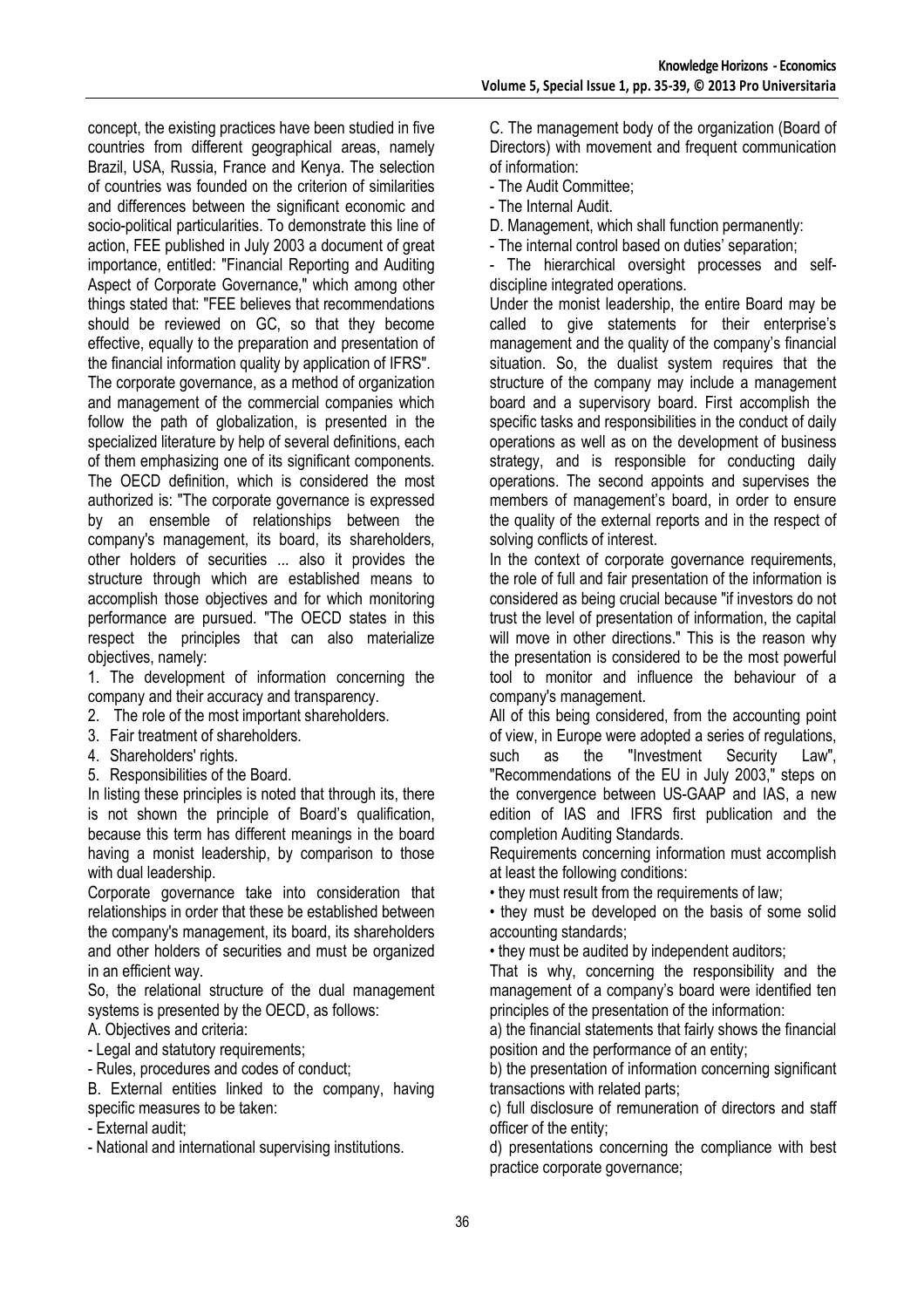concept, the existing practices have been studied in five countries from different geographical areas, namely Brazil, USA, Russia, France and Kenya. The selection of countries was founded on the criterion of similarities and differences between the significant economic and socio-political particularities. To demonstrate this line of action, FEE published in July 2003 a document of great importance, entitled: "Financial Reporting and Auditing Aspect of Corporate Governance," which among other things stated that: "FEE believes that recommendations should be reviewed on GC, so that they become effective, equally to the preparation and presentation of the financial information quality by application of IFRS".

The corporate governance, as a method of organization and management of the commercial companies which follow the path of globalization, is presented in the specialized literature by help of several definitions, each of them emphasizing one of its significant components. The OECD definition, which is considered the most authorized is: "The corporate governance is expressed by an ensemble of relationships between the company's management, its board, its shareholders, other holders of securities ... also it provides the structure through which are established means to accomplish those objectives and for which monitoring performance are pursued. "The OECD states in this respect the principles that can also materialize objectives, namely:

1. The development of information concerning the company and their accuracy and transparency.

- 2. The role of the most important shareholders.
- 3. Fair treatment of shareholders.
- 4. Shareholders' rights.
- 5. Responsibilities of the Board.

In listing these principles is noted that through its, there is not shown the principle of Board's qualification, because this term has different meanings in the board having a monist leadership, by comparison to those with dual leadership.

Corporate governance take into consideration that relationships in order that these be established between the company's management, its board, its shareholders and other holders of securities and must be organized in an efficient way.

So, the relational structure of the dual management systems is presented by the OECD, as follows:

A. Objectives and criteria:

- Legal and statutory requirements;

- Rules, procedures and codes of conduct;

B. External entities linked to the company, having specific measures to be taken:

- External audit;

- National and international supervising institutions.

C. The management body of the organization (Board of Directors) with movement and frequent communication of information:

- The Audit Committee;
- The Internal Audit.

D. Management, which shall function permanently:

- The internal control based on duties' separation;

- The hierarchical oversight processes and selfdiscipline integrated operations.

Under the monist leadership, the entire Board may be called to give statements for their enterprise's management and the quality of the company's financial situation. So, the dualist system requires that the structure of the company may include a management board and a supervisory board. First accomplish the specific tasks and responsibilities in the conduct of daily operations as well as on the development of business strategy, and is responsible for conducting daily operations. The second appoints and supervises the members of management's board, in order to ensure the quality of the external reports and in the respect of solving conflicts of interest.

In the context of corporate governance requirements, the role of full and fair presentation of the information is considered as being crucial because "if investors do not trust the level of presentation of information, the capital will move in other directions." This is the reason why the presentation is considered to be the most powerful tool to monitor and influence the behaviour of a company's management.

All of this being considered, from the accounting point of view, in Europe were adopted a series of regulations, such as the "Investment Security Law". "Recommendations of the EU in July 2003," steps on the convergence between US-GAAP and IAS, a new edition of IAS and IFRS first publication and the completion Auditing Standards.

Requirements concerning information must accomplish at least the following conditions:

• they must result from the requirements of law;

• they must be developed on the basis of some solid accounting standards;

• they must be audited by independent auditors;

That is why, concerning the responsibility and the management of a company's board were identified ten principles of the presentation of the information:

a) the financial statements that fairly shows the financial position and the performance of an entity;

b) the presentation of information concerning significant transactions with related parts;

c) full disclosure of remuneration of directors and staff officer of the entity;

d) presentations concerning the compliance with best practice corporate governance;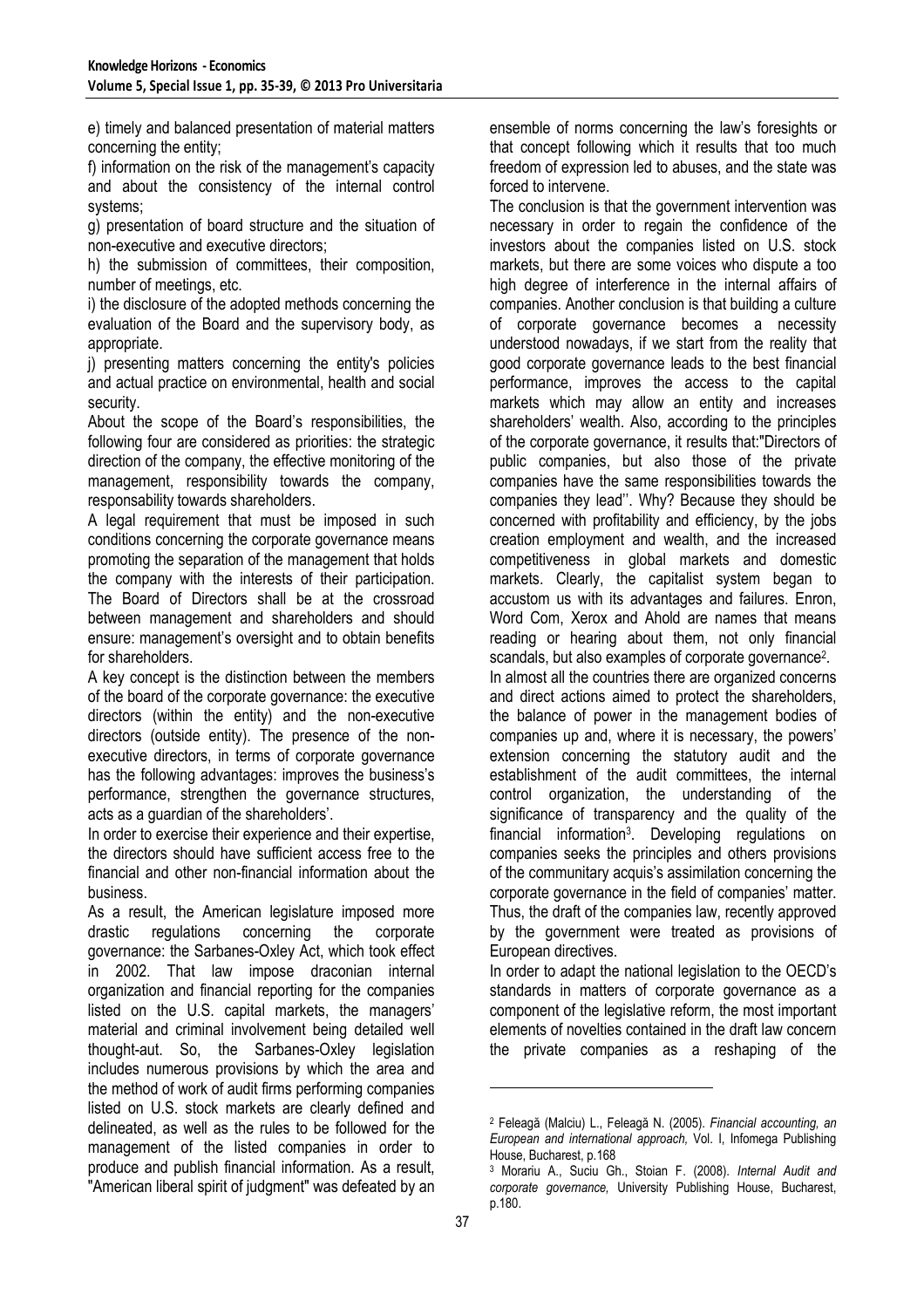e) timely and balanced presentation of material matters concerning the entity;

f) information on the risk of the management's capacity and about the consistency of the internal control systems;

g) presentation of board structure and the situation of non-executive and executive directors;

h) the submission of committees, their composition, number of meetings, etc.

i) the disclosure of the adopted methods concerning the evaluation of the Board and the supervisory body, as appropriate.

j) presenting matters concerning the entity's policies and actual practice on environmental, health and social security.

About the scope of the Board's responsibilities, the following four are considered as priorities: the strategic direction of the company, the effective monitoring of the management, responsibility towards the company, responsability towards shareholders.

A legal requirement that must be imposed in such conditions concerning the corporate governance means promoting the separation of the management that holds the company with the interests of their participation. The Board of Directors shall be at the crossroad between management and shareholders and should ensure: management's oversight and to obtain benefits for shareholders.

A key concept is the distinction between the members of the board of the corporate governance: the executive directors (within the entity) and the non-executive directors (outside entity). The presence of the nonexecutive directors, in terms of corporate governance has the following advantages: improves the business's performance, strengthen the governance structures, acts as a guardian of the shareholders'.

In order to exercise their experience and their expertise, the directors should have sufficient access free to the financial and other non-financial information about the business.

As a result, the American legislature imposed more drastic regulations concerning the corporate governance: the Sarbanes-Oxley Act, which took effect in 2002. That law impose draconian internal organization and financial reporting for the companies listed on the U.S. capital markets, the managers' material and criminal involvement being detailed well thought-aut. So, the Sarbanes-Oxley legislation includes numerous provisions by which the area and the method of work of audit firms performing companies listed on U.S. stock markets are clearly defined and delineated, as well as the rules to be followed for the management of the listed companies in order to produce and publish financial information. As a result, "American liberal spirit of judgment" was defeated by an

ensemble of norms concerning the law's foresights or that concept following which it results that too much freedom of expression led to abuses, and the state was forced to intervene.

The conclusion is that the government intervention was necessary in order to regain the confidence of the investors about the companies listed on U.S. stock markets, but there are some voices who dispute a too high degree of interference in the internal affairs of companies. Another conclusion is that building a culture of corporate governance becomes a necessity understood nowadays, if we start from the reality that good corporate governance leads to the best financial performance, improves the access to the capital markets which may allow an entity and increases shareholders' wealth. Also, according to the principles of the corporate governance, it results that:"Directors of public companies, but also those of the private companies have the same responsibilities towards the companies they lead''. Why? Because they should be concerned with profitability and efficiency, by the jobs creation employment and wealth, and the increased competitiveness in global markets and domestic markets. Clearly, the capitalist system began to accustom us with its advantages and failures. Enron, Word Com, Xerox and Ahold are names that means reading or hearing about them, not only financial scandals, but also examples of corporate governance<sup>2</sup>. In almost all the countries there are organized concerns and direct actions aimed to protect the shareholders,

the balance of power in the management bodies of companies up and, where it is necessary, the powers' extension concerning the statutory audit and the establishment of the audit committees, the internal control organization, the understanding of the significance of transparency and the quality of the financial information<sup>3</sup> . Developing regulations on companies seeks the principles and others provisions of the communitary acquis's assimilation concerning the corporate governance in the field of companies' matter. Thus, the draft of the companies law, recently approved by the government were treated as provisions of European directives.

In order to adapt the national legislation to the OECD's standards in matters of corporate governance as a component of the legislative reform, the most important elements of novelties contained in the draft law concern the private companies as a reshaping of the

l

<sup>2</sup> Feleagă (Malciu) L., Feleagă N. (2005). *Financial accounting, an European and international approach,* Vol. I, Infomega Publishing House, Bucharest, p.168

<sup>3</sup> Morariu A., Suciu Gh., Stoian F. (2008). *Internal Audit and corporate governance,* University Publishing House, Bucharest, p.180.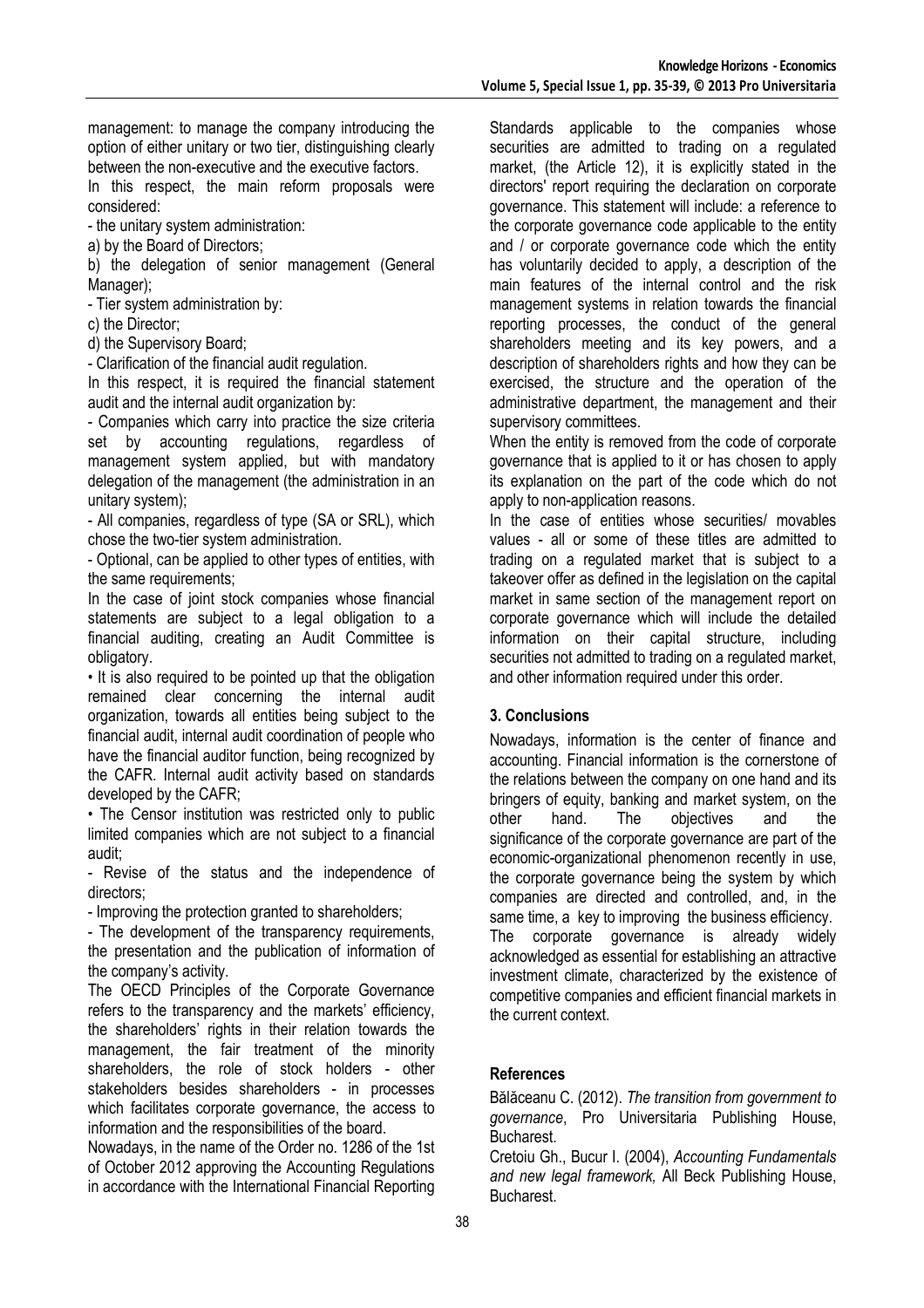management: to manage the company introducing the option of either unitary or two tier, distinguishing clearly between the non-executive and the executive factors.

In this respect, the main reform proposals were considered:

- the unitary system administration:

a) by the Board of Directors;

b) the delegation of senior management (General Manager);

- Tier system administration by:

c) the Director;

d) the Supervisory Board;

- Clarification of the financial audit regulation.

In this respect, it is required the financial statement audit and the internal audit organization by:

- Companies which carry into practice the size criteria set by accounting regulations, regardless of management system applied, but with mandatory delegation of the management (the administration in an unitary system);

- All companies, regardless of type (SA or SRL), which chose the two-tier system administration.

- Optional, can be applied to other types of entities, with the same requirements;

In the case of joint stock companies whose financial statements are subject to a legal obligation to a financial auditing, creating an Audit Committee is obligatory.

• It is also required to be pointed up that the obligation remained clear concerning the internal audit organization, towards all entities being subject to the financial audit, internal audit coordination of people who have the financial auditor function, being recognized by the CAFR. Internal audit activity based on standards developed by the CAFR;

• The Censor institution was restricted only to public limited companies which are not subject to a financial audit;

Revise of the status and the independence of directors;

- Improving the protection granted to shareholders;

- The development of the transparency requirements, the presentation and the publication of information of the company's activity.

The OECD Principles of the Corporate Governance refers to the transparency and the markets' efficiency, the shareholders' rights in their relation towards the management, the fair treatment of the minority shareholders, the role of stock holders - other stakeholders besides shareholders - in processes which facilitates corporate governance, the access to information and the responsibilities of the board.

Nowadays, in the name of the Order no. 1286 of the 1st of October 2012 approving the Accounting Regulations in accordance with the International Financial Reporting

Standards applicable to the companies whose securities are admitted to trading on a regulated market, (the Article 12), it is explicitly stated in the directors' report requiring the declaration on corporate governance. This statement will include: a reference to the corporate governance code applicable to the entity and / or corporate governance code which the entity has voluntarily decided to apply, a description of the main features of the internal control and the risk management systems in relation towards the financial reporting processes, the conduct of the general shareholders meeting and its key powers, and a description of shareholders rights and how they can be exercised, the structure and the operation of the administrative department, the management and their supervisory committees.

When the entity is removed from the code of corporate governance that is applied to it or has chosen to apply its explanation on the part of the code which do not apply to non-application reasons.

In the case of entities whose securities/ movables values - all or some of these titles are admitted to trading on a regulated market that is subject to a takeover offer as defined in the legislation on the capital market in same section of the management report on corporate governance which will include the detailed information on their capital structure, including securities not admitted to trading on a regulated market, and other information required under this order.

# **3. Conclusions**

Nowadays, information is the center of finance and accounting. Financial information is the cornerstone of the relations between the company on one hand and its bringers of equity, banking and market system, on the other hand. The objectives and the significance of the corporate governance are part of the economic-organizational phenomenon recently in use, the corporate governance being the system by which companies are directed and controlled, and, in the same time, a key to improving the business efficiency. The corporate governance is already widely acknowledged as essential for establishing an attractive investment climate, characterized by the existence of competitive companies and efficient financial markets in the current context.

# **References**

Bălăceanu C. (2012). *The transition from government to governance*, Pro Universitaria Publishing House, Bucharest.

Cretoiu Gh., Bucur I. (2004), *Accounting Fundamentals and new legal framework,* All Beck Publishing House, Bucharest.